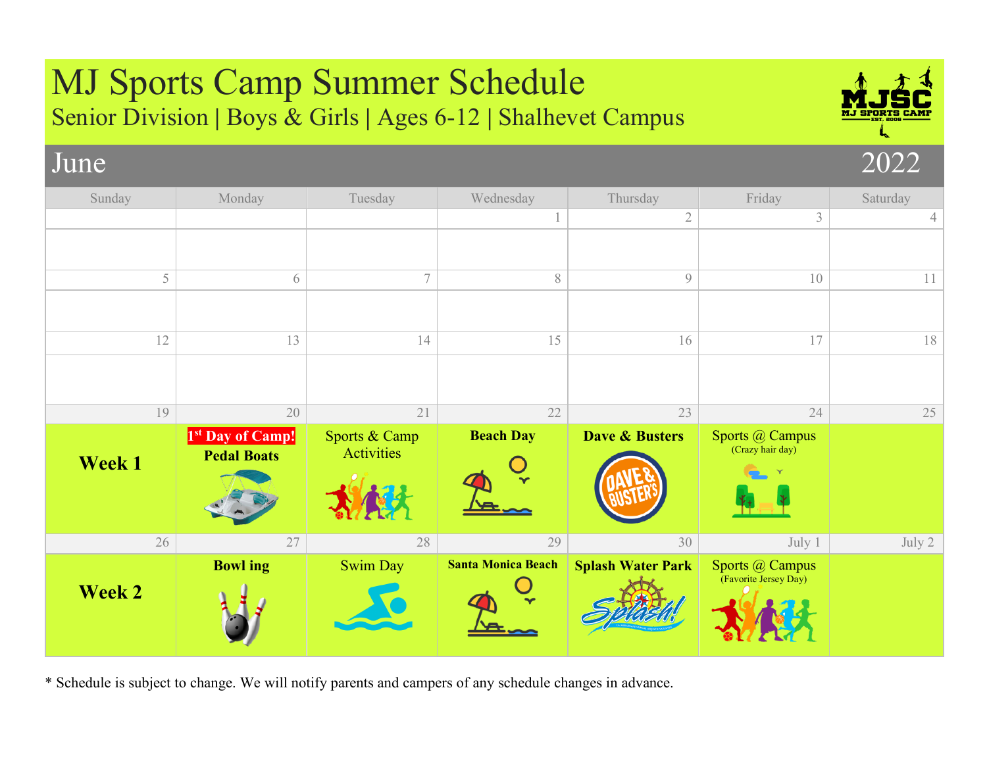## MJ Sports Camp Summer Schedule Senior Division **|** Boys & Girls **|** Ages 6-12 **|** Shalhevet Campus June 2022 Sunday | Monday | Tuesday | Wednesday | Thursday | Friday | Saturday  $\begin{array}{|c|c|c|c|c|}\n\hline\n1 & 2 & 3 & 4 \\
\hline\n\end{array}$  $5$  6 7 7 8 9 10 11  $12$  13 13 14 15 15 16 17 17  $19$  20 21 22 23 24 24 **Week 1 1st Day of Camp! Pedal Boats** Sports & Camp Activities **Beach Day Dave & Busters** Sports @ Campus (Crazy hair day)  $26$  27 28 28 29 30 July 1 July 2 **Week 2 Bowl ing Swim Day Santa Monica Beach Splash Water Park** Sports @ Campus (Favorite Jersey Day)

\* Schedule is subject to change. We will notify parents and campers of any schedule changes in advance.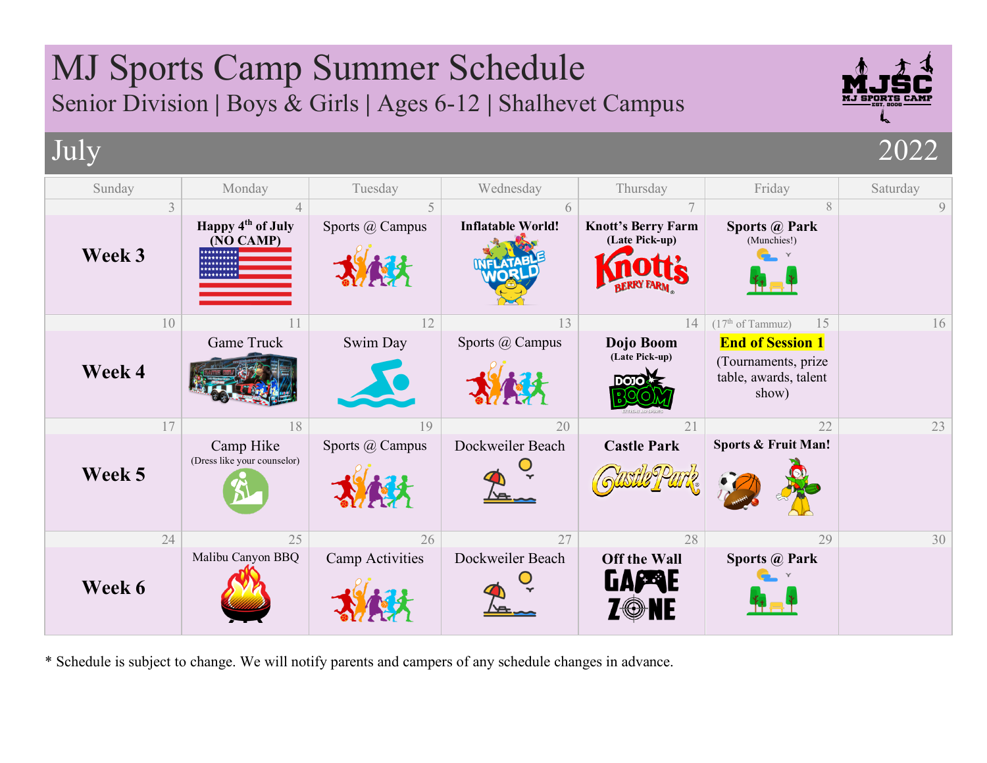## MJ Sports Camp Summer Schedule Senior Division **|** Boys & Girls **|** Ages 6-12 **|** Shalhevet Campus July 2022 Sunday | Monday | Tuesday | Wednesday | Thursday | Friday | Saturday  $3 \mid 4 \mid 5 \mid 6 \mid 7 \mid 8 \mid 9$ **Happy 4th of July**  Sports @ Campus **Inflatable World! Knott's Berry Farm Sports @ Park (Late Pick-up) (NO CAMP)** (Munchies!) **Week 3**  $10$  11 12 12 13 13 14 (17<sup>th</sup> of Tammuz) 15 16 Game Truck Swim Day Sports @ Campus Dojo Boom **End of Session 1 (Late Pick-up)** (Tournaments, prize **Week 4** table, awards, talent ண show)  $17$  18 18 19 19 20 21 21 22 23 Sports @ Campus Dockweiler Beach **Castle Park Sports & Fruit Man!**  Camp Hike (Dress like your counselor) **Week 5**  $24$  25 26 26 27 28 28 29 29 Malibu Canyon BBQ Camp Activities Dockweiler Beach **Off the Wall** Sports @ Park **GALERIE Week 6** 7®NE

\* Schedule is subject to change. We will notify parents and campers of any schedule changes in advance.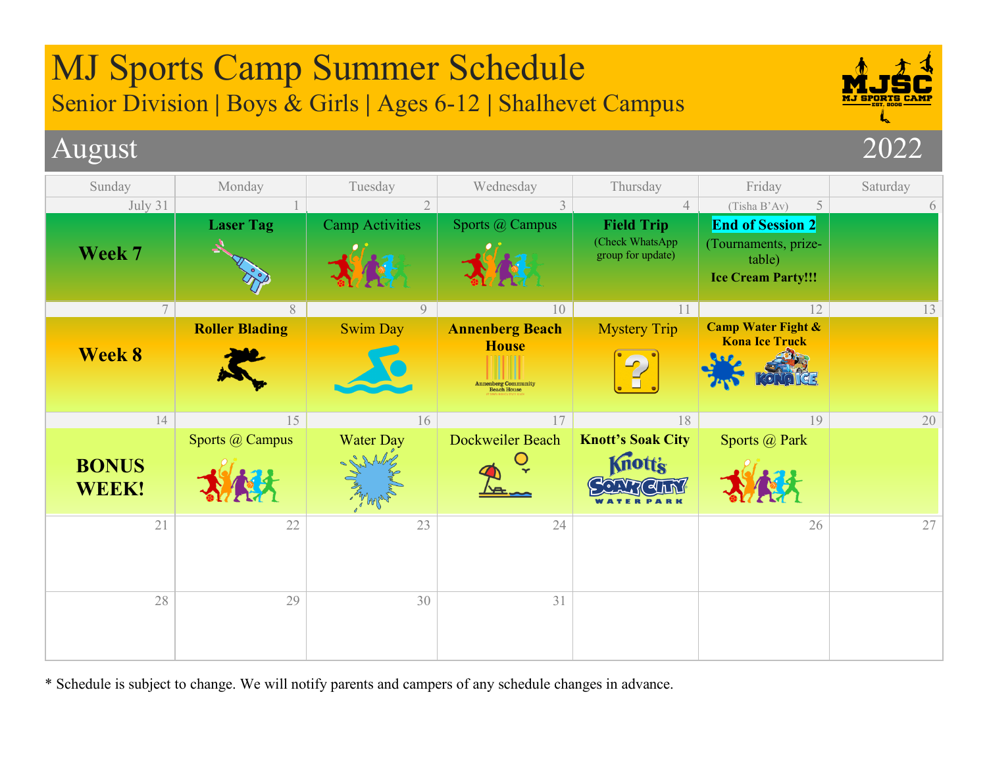

\* Schedule is subject to change. We will notify parents and campers of any schedule changes in advance.